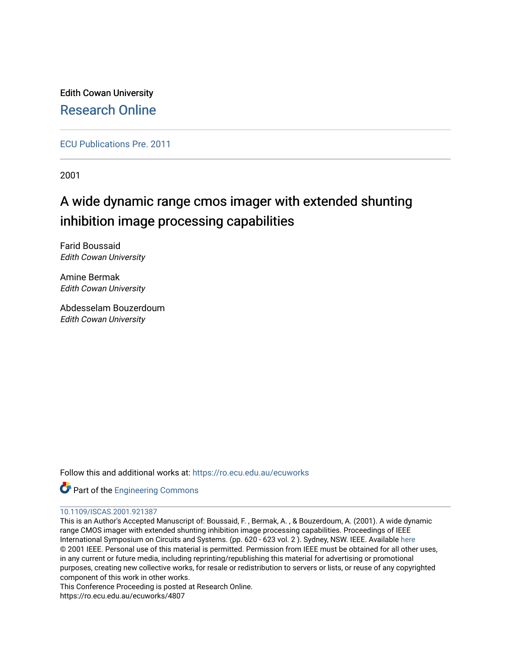Edith Cowan University [Research Online](https://ro.ecu.edu.au/) 

[ECU Publications Pre. 2011](https://ro.ecu.edu.au/ecuworks)

2001

# A wide dynamic range cmos imager with extended shunting inhibition image processing capabilities

Farid Boussaid Edith Cowan University

Amine Bermak Edith Cowan University

Abdesselam Bouzerdoum Edith Cowan University

Follow this and additional works at: [https://ro.ecu.edu.au/ecuworks](https://ro.ecu.edu.au/ecuworks?utm_source=ro.ecu.edu.au%2Fecuworks%2F4807&utm_medium=PDF&utm_campaign=PDFCoverPages) 



### [10.1109/ISCAS.2001.921387](http://dx.doi.org/10.1109/ISCAS.2001.921387)

This is an Author's Accepted Manuscript of: Boussaid, F. , Bermak, A. , & Bouzerdoum, A. (2001). A wide dynamic range CMOS imager with extended shunting inhibition image processing capabilities. Proceedings of IEEE International Symposium on Circuits and Systems. (pp. 620 - 623 vol. 2 ). Sydney, NSW. IEEE. Available [here](http://dx.doi.org/10.1109/ISCAS.2001.921387)  © 2001 IEEE. Personal use of this material is permitted. Permission from IEEE must be obtained for all other uses, in any current or future media, including reprinting/republishing this material for advertising or promotional purposes, creating new collective works, for resale or redistribution to servers or lists, or reuse of any copyrighted component of this work in other works.

This Conference Proceeding is posted at Research Online.

https://ro.ecu.edu.au/ecuworks/4807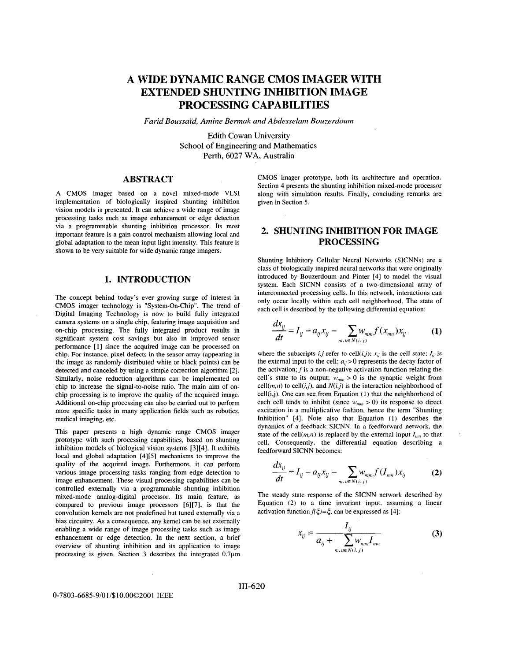## **A WIDE DYNAMIC RANGE CMOS IMAGER WITH EXTENDED SHUNTING INHIBITION IMAGE PROCESSING CAPABILITIES**

*Farid Boussal'd, Amine Bermak arid Abdesselani Bouzerdounz* 

Edith Cowan University School of Engineering and Mathematics Perth, 6027 WA, Australia

 $\mathbf{r}$ 

### **ABSTRACT**

A CMOS imager based on a novel mixed-mode **VLSI**  implementation of biologically inspired shunting inhibition vision models is presented. It can achieve a wide range of image processing tasks such **as** image enhancement or edge detection via a programmable shunting inhibition processor. Its most important feature is a gain control mechanism allowing local and global adaptation to the mean input light intensity. This feature is shown to be very suitable for wide dynamic range imagers.

#### **1. INTRODUCTION**

The concept behind today's ever growing surge of interest in CMOS imager technology is "System-On-Chip". The trend of Digital Imaging Technology is now to build fully integrated camera systems on a single chip, featuring image acquisition and on-chip processing. The fully integrated product results in significant system cost savings but also in improved sensor performance [I] since the acquired image can be processed on chip. For instance, pixel defects in the sensor array (appearing in the image as randomly distributed white or black points) can be detected and canceled by using a simple correction algorithm *[2].*  Similarly, noise reduction algorithms can be implemented on chip to increase the signal-to-noise ratio. The main aim of onchip processing is to improve the quality of the acquired image. Additional on-chip processing can **also** be carried out to perform more specific tasks in many application fields such as robotics, medical imaging, etc.

This paper presents a high dynamic range CMOS imager prototype with such processing capabilities, based on shunting inhibition models of biological vision systems [3][4]. **It** exhibits local and global adaptation [4][5] mechanisms to improve the quality of the acquired image. Furthermore, it can perform various image processing tasks ranging from edge detection to image enhancement. These visual processing capabilities can be controlled externally via a programmable shunting inhibition mixed-mode analog-digital processor. Its main feature, as compared to previous image processors [6][7], is that the convolution kernels are not predefined but tuned externally via a bias circuitry. **As** a consequence, any kernel can be set externally enabling a wide range of image processing tasks such as image enhancement or edge detection. In the next section, a brief overview of shunting inhibition and its application to image processing is given. Section 3 describes the integrated 0.7 $\mu$ m CMOS imager prototype, both its architecture and operation. Section 4 presents the shunting inhibition mixed-mode processor along with simulation results. Finally, concluding remarks are given in Section 5.

## **2. SHUNTING INHIBITION FOR IMAGE PROCESSING**

Shunting Inhibitory Cellular Neural Networks (SICNNs) are a class of biologically inspired neural networks that were originally introduced by Bouzerdoum and Pinter [4] to model the visual system. Each SICNN consists of a two-dimensional array of interconnected processing cells. In this network, interactions can only occur locally within each cell neighborhood. The state of each cell is described by the following differential equation:

$$
\frac{dx_{ij}}{dt} = I_{ij} - a_{ij}x_{ij} - \sum_{m,m \in N(i,j)} w_{mm} f(x_{mn})x_{ij}
$$
(1)

where the subscripts  $i, j$  refer to cell( $i, j$ );  $x_{ij}$  is the cell state;  $I_{ij}$  is the external input to the cell;  $a_{ii} > 0$  represents the decay factor of the activation; *f* is a non-negative activation function relating the cell's state to its output;  $w_{mm} > 0$  is the synaptic weight from cell $(m, n)$  to cell $(i,j)$ , and  $N(i,j)$  is the interaction neighborhood of cell(i,j). One can see from Equation (1) that the neighborhood of each cell tends to inhibit (since  $w_{nm} > 0$ ) its response to direct excitation in a multiplicative fashion, hence the term "Shunting Inhibition" [4]. Note **also** that Equation (I) describes the dynamics of **a** feedback SICNN. In a feedforward network, the state of the cell $(m,n)$  is replaced by the external input  $I_{mn}$  to that cell. Consequently, the differential equation describing a feedforward SICNN becomes:

$$
\frac{dx_{ij}}{dt} = I_{ij} - a_{ij}x_{ij} - \sum_{m,n \in N(i,j)} w_{mm} f(I_{mn})x_{ij}
$$
 (2)

The steady state response of the SICNN network described by Equation (2) to a time invariant input, assuming a linear activation function  $f(\xi) = \xi$ , can be expressed as [4]:

$$
x_{ij} = \frac{I_{ij}}{a_{ij} + \sum_{m,n \in N(i,j)} w_{mm} I_{mn}}
$$
(3)

#### *0-7803-6685-910 11\$10.000200* **1** IEEE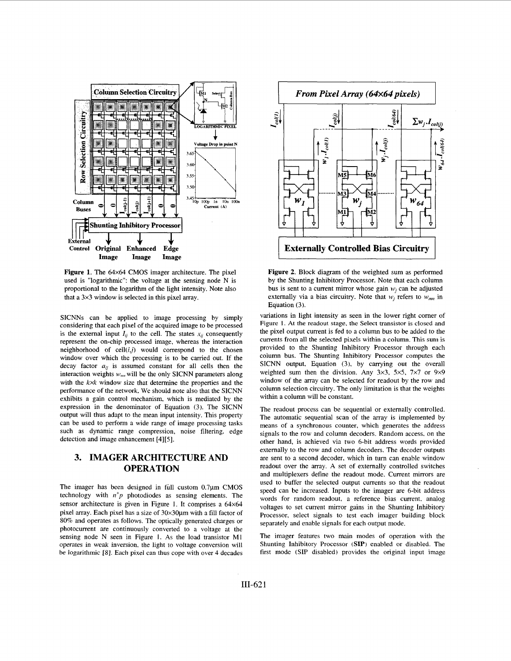<span id="page-2-0"></span>

**Figure 1.** The 64x64 **CMOS** imager architecture. The pixel used is "logarithmic": the voltage at the sensing node N is proportional to the logarithm of the light intensity. Note also that a 3x3 window is selected in this pixel array.

SICNNs can be applied to image processing by simply considering that each pixel of the acquired image to be processed is the external input  $I_{ij}$  to the cell. The states  $x_{ij}$  consequently represent the on-chip processed image, whereas the interaction neighborhood of  $cell(i,j)$  would correspond to the chosen window over which the processing is to be carried out. If the decay factor  $a_{ij}$  is assumed constant for all cells then the interaction weights  $w_{nm}$  will be the only SICNN parameters along with the *kxk* window size that determine the properties and the performance of the network. We should note also that the SICNN exhibits a gain control mechanism, which is mediated by the expression in the denominator of Equation (3). The SICNN output will thus adapt to the mean input intensity. This property can be used to perform a wide range of image processing tasks such as dynamic range compression, noise filtering, edge detection and image enhancement [4][5].

## **3. IMAGER ARCHITECTURE AND OPERATION**

The imager has been designed in full custom 0.7pm **CMOS**  technology with *n'p* photodiodes as sensing elements. The sensor architecture is given in Figure **1.** It comprises a 64x64 pixel array. Each pixel has a size of  $30 \times 30 \mu$ m with a fill factor of 80% and operates as follows. The optically generated charges or photocurrent are continuously converted to a voltage at the sensing node N seen in Figure **1.** As the load transistor **MI**  operates in weak inversion, the light to voltage conversion will be logarithmic [SI. Each pixel can thus cope with over 4 decades



**Figure 2.** Block diagram of the weighted sum as performed by the Shunting Inhibitory Processor. Note that each column bus is sent to a current mirror whose gain  $w_i$  can be adjusted externally via a bias circuitry. Note that  $w_i$  refers to  $w_{mn}$  in Equation (3).

variations in light intensity as seen in the lower right corner of Figure **1.** At the readout stage. the Select transistor **is** closed and the pixel output current is fed to a column bus to be added to the currents from all the selected pixels within a column. This sum is provided to the Shunting Inhibitory Processor through each column bus. The Shunting Inhibitory Processor computes the SICNN output, Equation (3), by carrying out the overall weighted sum then the division. Any 3x3, 5x5. 7x7 or 9x9 window of the array can be selected for readout by the row and column selection circuitry. The only limitation is that the weights within a column will be constant.

The readout process can be sequential or externally controlled. The automatic sequential scan of the array is implemented by means of a synchronous counter, which generates the address signals to the row and column decoders. Random access, on the other hand, is achieved via two 6-bit address words provided externally to the row and column decoders. The decoder outputs are sent to a second decoder, which in turn can enable window readout over the array. A set of externally controlled switches and multiplexers define the readout mode. Current mirrors are used to buffer the selected output currents so that the readout speed can be increased. Inputs to the imager are 6-bit address words for random readout, a reference bias current, analog voltages to set current mirror gains in the Shunting Inhibitory Processor, select signals to test each imager building block separately and enable signals for each output mode.

The imager features two main modes of operation with the Shunting Inhibitory Processor **(SIP)** enabled or disabled. The first mode **(SIP** disabled) provides the original input image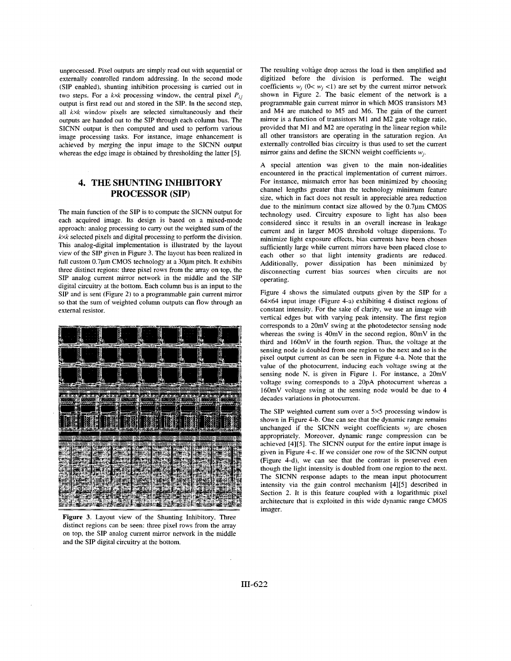unprocessed. Pixel outputs are simply read out with sequential or externally controlled random addressing. In the second mode **(SIP** enabled), shunting inhibition processing is carried out in two steps. For a  $k \times k$  processing window, the central pixel  $P_{ij}$ output is first read out and stored in the SIP. In the second step, **all** kxk window pixels are selected simultaneously and their outputs are handed out to the **SIP** through each column bus. The SICNN output is then computed and used to perform various image processing tasks. For instance, image enhancement is achieved by merging the input image to the SICNN output whereas the edge image is obtained by thresholding the latter *[5].* 

## **4. THE SHUNTING INHIBITORY PROCESSOR (SIP)**

The main function of the SIP is to compute the SICNN output for each acquired image. Its design is based on a mixed-mode approach: analog processing to carry out the weighted sum of the kxk selected pixels and digital processing to perform the division. This analog-digital implementation is illustrated by the layout view of the **SIP** given in Figure 3. The layout has been realized in full custom 0.7ym CMOS technology at **a** 30ym pitch. It exhibits three distinct regions: three pixel rows from the array on top, the **SIP** analog current mirror network in the middle and the SIP digital circuitry at the bottom. Each column bus is an input to the SIP and is sent (Figure 2) to a programmable gain current mirror so that the sum of weighted column outputs can flow through an external resistor.



**Figure 3.** Layout view of the Shunting Inhibitory. Three distinct regions can be seen: three pixel rows from the array on top, the SIP analog current mirror network in the middle and the SIP digital circuitry at the bottom.

The resulting voltage drop across the load is then amplified and digitized before the division is performed. The weight coefficients  $w_i$  (0<  $w_i$  <1) are set by the current mirror network shown in [Figure 2.](#page-2-0) The basic element of the network is a programmable gain current mirror in which MOS transistors M3 and M4 are matched to M5 and M6. The gain of the current mirror is **a** function of transistors **MI** and M2 gate voltage ratio, provided that MI and M2 are operating in the linear region whik **all** other transistors are operating in the saturation region. **Ai**  externally controlled bias circuitry is thus used to set the current mirror gains and define the SICNN weight coefficients  $w_i$ .

**A** special attention was given to the main non-idealities encountered in the practical implementation of current mirrors. For instance, mismatch error has been minimized by choosing channel lengths greater than the technology minimum feature size, which in fact does not result in appreciable area reduction due to the minimum contact size allowed by the  $0.7\mu$ m CMOS technology used. Circuitry exposure to light has **also** been considered since it results in an overall increase in leakage current and in larger **MOS** threshold voltage dispersions. To minimize light exposure effects, bias currents have been chosen sufficiently large while current mirrors have been placed close to each other so that light intensity gradients are reduced. Additionally, power dissipation has been minimized by disconnecting current bias sources when circuits are not operating.

Figure 4 shows the simulated outputs given by the SIP for **a**  64x64 input image (Figure 4-a) exhibiting 4 distinct regions of constant intensity. For the sake of clarity, we use an image with vertical edges but with varying *peak* intensity. The first region corresponds to a 20mV swing at the photodetector sensing node whereas the swing is 40mV in the second region, 80mV in the third and 160mV in the fourth region. Thus, the voltage at the sensing node is doubled from one **region** to the next and so **is** the pixel output current **as** can be seen in Figure 4-a. Note that the value of the photocurrent, inducing each voltage swing at the sensing node N, is given in [Figure](#page-2-0) **1.** For instance, a 20mV voltage swing corresponds to **a** 20pA photocurrent whereas **a**  160mV voltage swing at the sensing node would be due to 4 decades variations in photocurrent.

The SIP weighted current sum over a 5×5 processing window is shown in Figure 4-b. One can see that the dynamic range remains unchanged if the SICNN weight coefficients  $w_i$  are chosen appropriately. Moreover, dynamic range compression can be achieved [4][5]. The SICNN output for the entire input image is given in Figure 4-c. If we consider one row of the SICNN output (Figure 4-d), we can see that the contrast is preserved even though the light intensity is doubled from one region to the next. The SICNN response adapts to the mean input photocurrent intensity via the gain control mechanism [4][5] described in Section 2. It is this feature coupled with **a** logarithmic pixel architecture that is exploited in this wide dynamic range CMOS imager.